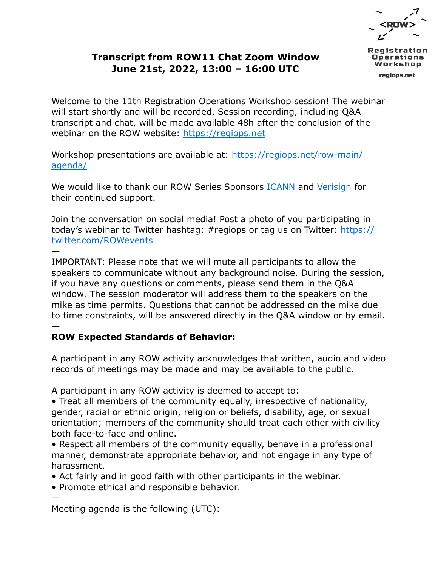## **Transcript from ROW11 Chat Zoom Window June 21st, 2022, 13:00 – 16:00 UTC**

oerations regiops.net

Welcome to the 11th Registration Operations Workshop session! The webinar will start shortly and will be recorded. Session recording, including Q&A transcript and chat, will be made available 48h after the conclusion of the webinar on the ROW website: [https://regiops.net](https://regiops.net/)

[Workshop presentations are available at: https://regiops.net/row-main/](https://regiops.net/row-main/agenda/) agenda/

We would like to thank our ROW Series Sponsors **ICANN** and [Verisign](https://www.verisign.com/) for their continued support.

Join the conversation on social media! Post a photo of you participating in today's webinar to Twitter hashtag: #regiops or tag us on Twitter: https:// twitter.com/ROWevents

— IMPORTANT: Please note that we will mute all participants to allow the speakers to communicate without any background noise. During the session, if you have any questions or comments, please send them in the Q&A window. The session moderator will address them to the speakers on the mike as time permits. Questions that cannot be addressed on the mike due to time constraints, will be answered directly in the Q&A window or by email. —

## **ROW Expected Standards of Behavior:**

A participant in any ROW activity acknowledges that written, audio and video records of meetings may be made and may be available to the public.

A participant in any ROW activity is deemed to accept to:

• Treat all members of the community equally, irrespective of nationality, gender, racial or ethnic origin, religion or beliefs, disability, age, or sexual orientation; members of the community should treat each other with civility both face-to-face and online.

• Respect all members of the community equally, behave in a professional manner, demonstrate appropriate behavior, and not engage in any type of harassment.

• Act fairly and in good faith with other participants in the webinar.

• Promote ethical and responsible behavior.

— Meeting agenda is the following (UTC):